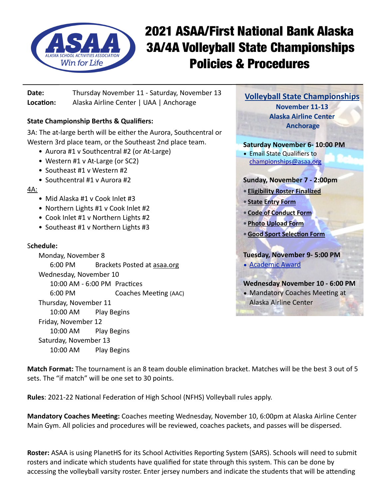

# 2021 ASAA/First National Bank Alaska 3A/4A Volleyball State Championships Policies & Procedures

**Date:** Thursday November 11 - Saturday, November 13 **Location:** Alaska Airline Center | UAA | Anchorage

# **State Championship Berths & Qualifiers:**

3A: The at-large berth will be either the Aurora, Southcentral or Western 3rd place team, or the Southeast 2nd place team.

- Aurora #1 v Southcentral #2 (or At-Large)
- Western #1 v At-Large (or SC2)
- Southeast #1 v Western #2
- Southcentral #1 v Aurora #2
- 4A:
	- Mid Alaska #1 v Cook Inlet #3
	- Northern Lights #1 v Cook Inlet #2
	- Cook Inlet #1 v Northern Lights #2
	- Southeast #1 v Northern Lights #3

### S**chedule:**

Monday, November 8 6:00 PM Brackets Posted at [asaa.org](http://asaa.org) Wednesday, November 10 10:00 AM - 6:00 PM Practices 6:00 PM Coaches Meeting (AAC) Thursday, November 11 10:00 AM Play Begins Friday, November 12 10:00 AM Play Begins Saturday, November 13 10:00 AM Play Begins



• Mandatory Coaches Meeting at Alaska Airline Center

**Match Format:** The tournament is an 8 team double elimination bracket. Matches will be the best 3 out of 5 sets. The "if match" will be one set to 30 points.

**Rules**: 2021-22 National Federation of High School (NFHS) Volleyball rules apply.

**Mandatory Coaches Meeting:** Coaches meeting Wednesday, November 10, 6:00pm at Alaska Airline Center Main Gym. All policies and procedures will be reviewed, coaches packets, and passes will be dispersed.

**Roster:** ASAA is using PlanetHS for its School Activities Reporting System (SARS). Schools will need to submit rosters and indicate which students have qualified for state through this system. This can be done by accessing the volleyball varsity roster. Enter jersey numbers and indicate the students that will be attending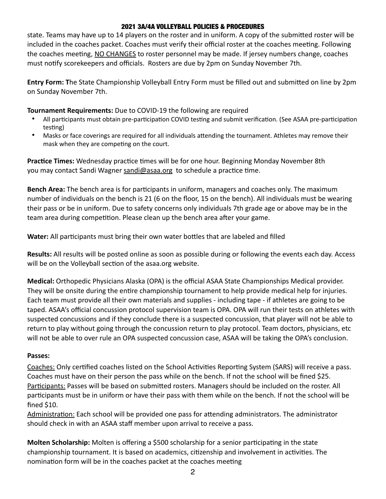#### 2021 3A/4A VOLLEYBALL POLICIES & PROCEDURES

state. Teams may have up to 14 players on the roster and in uniform. A copy of the submitted roster will be included in the coaches packet. Coaches must verify their official roster at the coaches meeting. Following the coaches meeting, NO CHANGES to roster personnel may be made. If jersey numbers change, coaches must notify scorekeepers and officials. Rosters are due by 2pm on Sunday November 7th.

**Entry Form: T**he State Championship Volleyball Entry Form must be filled out and submitted on line by 2pm on Sunday November 7th.

#### **Tournament Requirements:** Due to COVID-19 the following are required

- All participants must obtain pre-participation COVID testing and submit verification. (See ASAA pre-participation testing)
- Masks or face coverings are required for all individuals attending the tournament. Athletes may remove their mask when they are competing on the court.

**Practice Times:** Wednesday practice times will be for one hour. Beginning Monday November 8th you may contact Sandi Wagner [sandi@asaa.org](mailto:sandi@asaa.org) to schedule a practice time.

**Bench Area:** The bench area is for participants in uniform, managers and coaches only. The maximum number of individuals on the bench is 21 (6 on the floor, 15 on the bench). All individuals must be wearing their pass or be in uniform. Due to safety concerns only individuals 7th grade age or above may be in the team area during competition. Please clean up the bench area after your game.

**Water:** All participants must bring their own water bottles that are labeled and filled

**Results:** All results will be posted online as soon as possible during or following the events each day. Access will be on the Volleyball section of the asaa.org website.

**Medical:** Orthopedic Physicians Alaska (OPA) is the official ASAA State Championships Medical provider. They will be onsite during the entire championship tournament to help provide medical help for injuries. Each team must provide all their own materials and supplies - including tape - if athletes are going to be taped. ASAA's official concussion protocol supervision team is OPA. OPA will run their tests on athletes with suspected concussions and if they conclude there is a suspected concussion, that player will not be able to return to play without going through the concussion return to play protocol. Team doctors, physicians, etc will not be able to over rule an OPA suspected concussion case, ASAA will be taking the OPA's conclusion.

#### **Passes:**

Coaches: Only certified coaches listed on the School Activities Reporting System (SARS) will receive a pass. Coaches must have on their person the pass while on the bench. If not the school will be fined \$25. Participants: Passes will be based on submitted rosters. Managers should be included on the roster. All participants must be in uniform or have their pass with them while on the bench. If not the school will be fined \$10.

Administration: Each school will be provided one pass for attending administrators. The administrator should check in with an ASAA staff member upon arrival to receive a pass.

**Molten Scholarship:** Molten is offering a \$500 scholarship for a senior participating in the state championship tournament. It is based on academics, citizenship and involvement in activities. The nomination form will be in the coaches packet at the coaches meeting